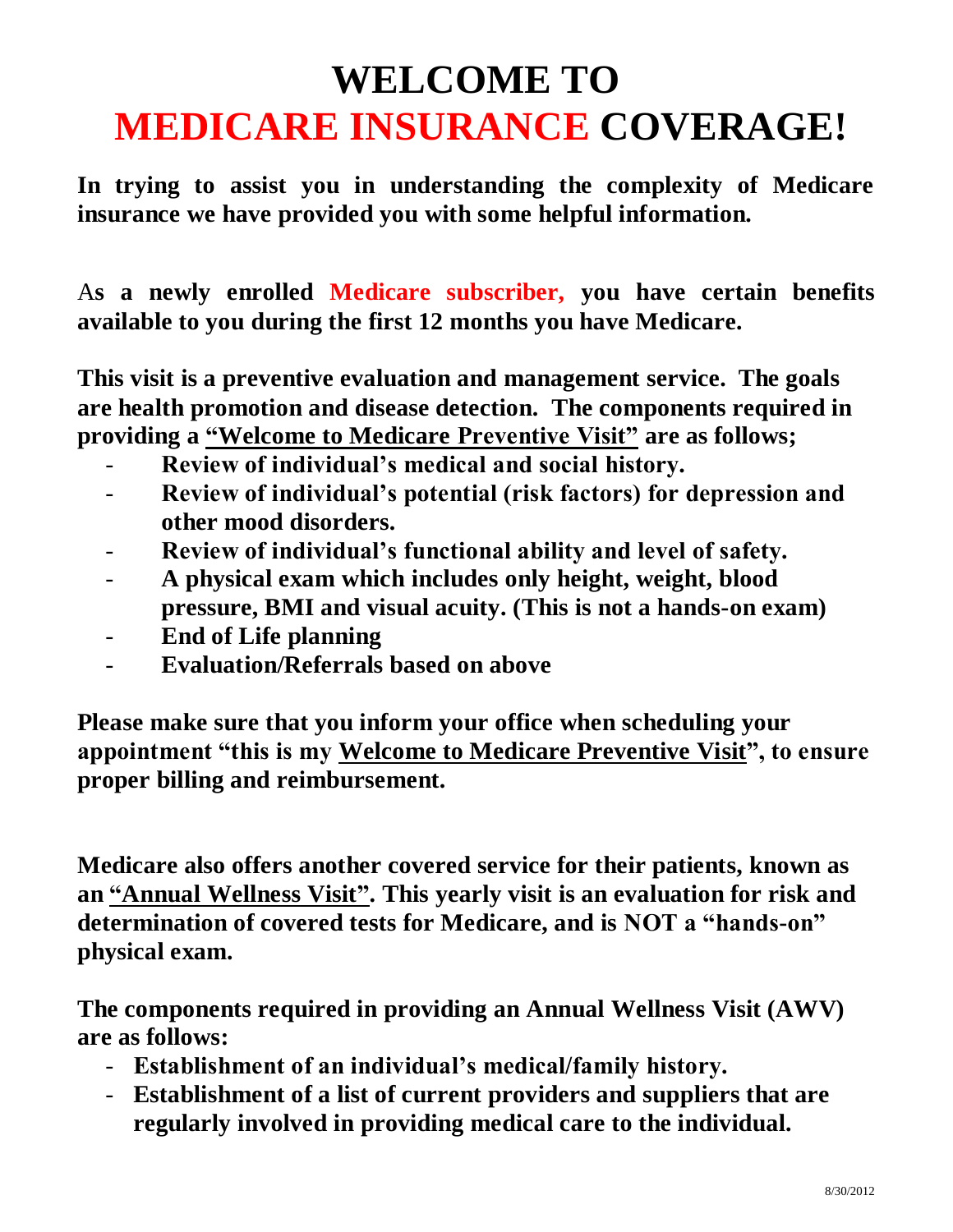## **WELCOME TO MEDICARE INSURANCE COVERAGE!**

**In trying to assist you in understanding the complexity of Medicare insurance we have provided you with some helpful information.**

A**s a newly enrolled Medicare subscriber, you have certain benefits available to you during the first 12 months you have Medicare.** 

**This visit is a preventive evaluation and management service. The goals are health promotion and disease detection. The components required in providing a "Welcome to Medicare Preventive Visit" are as follows;**

- **Review of individual's medical and social history.**
- **Review of individual's potential (risk factors) for depression and other mood disorders.**
- **Review of individual's functional ability and level of safety.**
- **A physical exam which includes only height, weight, blood pressure, BMI and visual acuity. (This is not a hands-on exam)**
- **End of Life planning**
- **Evaluation/Referrals based on above**

**Please make sure that you inform your office when scheduling your appointment "this is my Welcome to Medicare Preventive Visit", to ensure proper billing and reimbursement.** 

**Medicare also offers another covered service for their patients, known as an "Annual Wellness Visit". This yearly visit is an evaluation for risk and determination of covered tests for Medicare, and is NOT a "hands-on" physical exam.** 

**The components required in providing an Annual Wellness Visit (AWV) are as follows:**

- **Establishment of an individual's medical/family history.**
- **Establishment of a list of current providers and suppliers that are regularly involved in providing medical care to the individual.**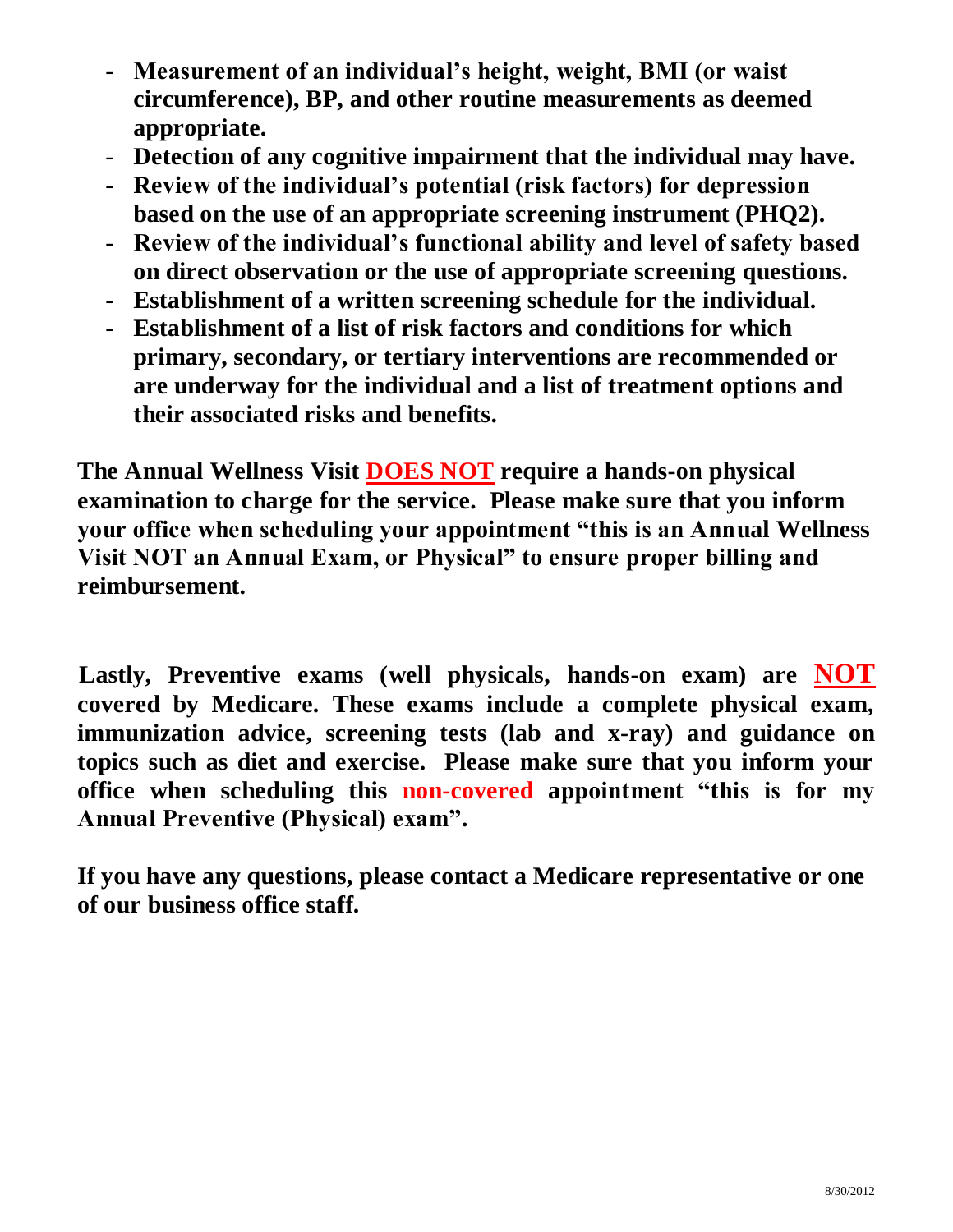- **Measurement of an individual's height, weight, BMI (or waist circumference), BP, and other routine measurements as deemed appropriate.**
- **Detection of any cognitive impairment that the individual may have.**
- **Review of the individual's potential (risk factors) for depression based on the use of an appropriate screening instrument (PHQ2).**
- **Review of the individual's functional ability and level of safety based on direct observation or the use of appropriate screening questions.**
- **Establishment of a written screening schedule for the individual.**
- **Establishment of a list of risk factors and conditions for which primary, secondary, or tertiary interventions are recommended or are underway for the individual and a list of treatment options and their associated risks and benefits.**

**The Annual Wellness Visit DOES NOT require a hands-on physical examination to charge for the service. Please make sure that you inform your office when scheduling your appointment "this is an Annual Wellness Visit NOT an Annual Exam, or Physical" to ensure proper billing and reimbursement.** 

 **Lastly, Preventive exams (well physicals, hands-on exam) are NOT covered by Medicare. These exams include a complete physical exam, immunization advice, screening tests (lab and x-ray) and guidance on topics such as diet and exercise. Please make sure that you inform your office when scheduling this non-covered appointment "this is for my Annual Preventive (Physical) exam".** 

**If you have any questions, please contact a Medicare representative or one of our business office staff.**